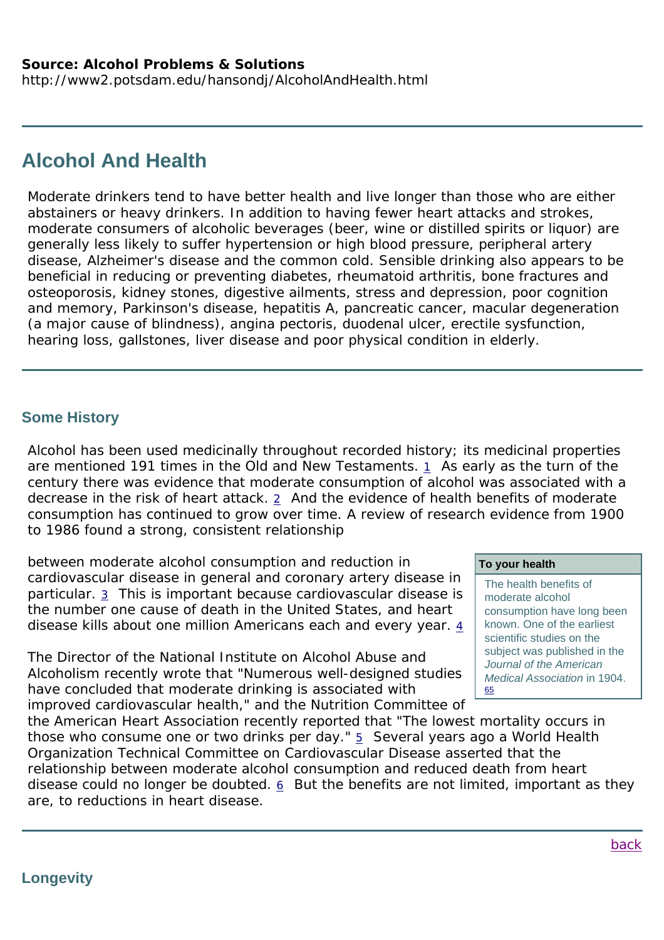# **Alcohol And Health**

Moderate drinkers tend to have better health and live longer than those who are either abstainers or heavy drinkers. In addition to having fewer heart attacks and strokes, moderate consumers of alcoholic beverages (beer, wine or distilled spirits or liquor) are generally less likely to suffer hypertension or high blood pressure, peripheral artery disease, Alzheimer's disease and the common cold. Sensible drinking also appears to be beneficial in reducing or preventing diabetes, rheumatoid arthritis, bone fractures and osteoporosis, kidney stones, digestive ailments, stress and depression, poor cognition and memory, Parkinson's disease, hepatitis A, pancreatic cancer, macular degeneration (a major cause of blindness), angina pectoris, duodenal ulcer, erectile sysfunction, hearing loss, gallstones, liver disease and poor physical condition in elderly.

# **Some History**

Alcohol has been used medicinally throughout recorded history; its medicinal properties are mentioned 191 times in the Old and New Testaments. 1 As early as the turn of the century there was evidence that moderate consumption of alcohol was associated with a decrease in the risk of heart attack.  $2$  And the evidence of health benefits of moderate consumption has continued to grow over time. A review of research evidence from 1900 to 1986 found a strong, consistent relationship

between moderate alcohol consumption and reduction in cardiovascular disease in general and coronary artery disease in particular. 3 This is important because cardiovascular disease is the number one cause of death in the United States, and heart disease kills about one million Americans each and every year.  $4$ 

The Director of the National Institute on Alcohol Abuse and Alcoholism recently wrote that "Numerous well-designed studies have concluded that moderate drinking is associated with improved cardiovascular health," and the Nutrition Committee of

# **To your health**

The health benefits of moderate alcohol consumption have long been known. One of the earliest scientific studies on the subject was published in the *Journal of the American Medical Association* in 1904. 65

the American Heart Association recently reported that "The lowest mortality occurs in those who consume one or two drinks per day."  $\frac{5}{2}$  Several years ago a World Health Organization Technical Committee on Cardiovascular Disease asserted that the relationship between moderate alcohol consumption and reduced death from heart disease could no longer be doubted. 6 But the benefits are not limited, important as they are, to reductions in heart disease.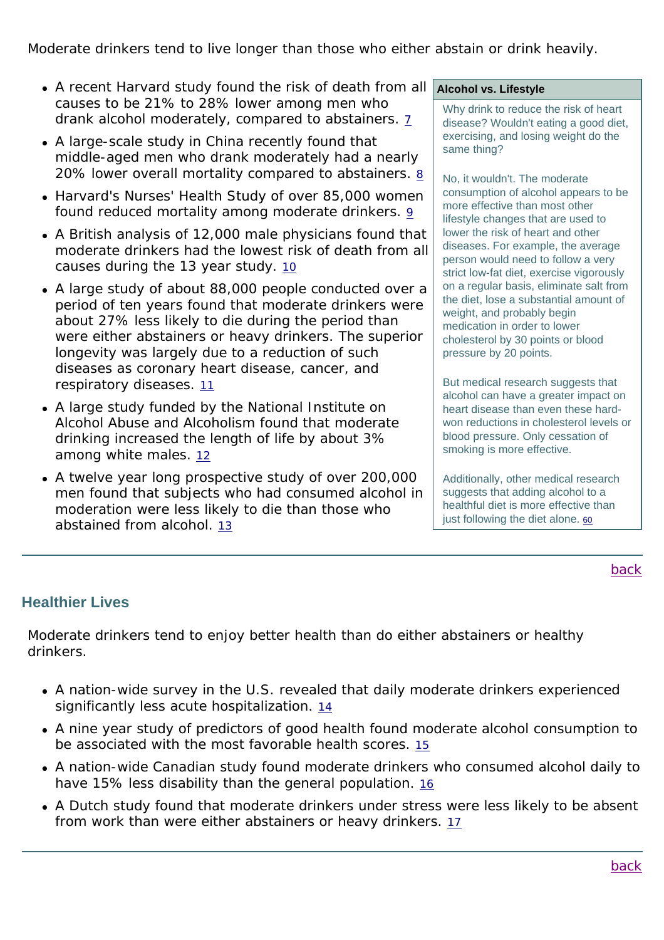Moderate drinkers tend to live longer than those who either abstain or drink heavily.

- A recent Harvard study found the risk of death from all causes to be 21% to 28% lower among men who drank alcohol moderately, compared to abstainers. 7
- A large-scale study in China recently found that middle-aged men who drank moderately had a nearly 20% lower overall mortality compared to abstainers. 8
- Harvard's Nurses' Health Study of over 85,000 women found reduced mortality among moderate drinkers. 9
- A British analysis of 12,000 male physicians found that moderate drinkers had the lowest risk of death from all causes during the 13 year study. 10
- A large study of about 88,000 people conducted over a period of ten years found that moderate drinkers were about 27% less likely to die during the period than were either abstainers or heavy drinkers. The superior longevity was largely due to a reduction of such diseases as coronary heart disease, cancer, and respiratory diseases. 11
- A large study funded by the National Institute on Alcohol Abuse and Alcoholism found that moderate drinking increased the length of life by about 3% among white males. 12
- A twelve year long prospective study of over 200,000 men found that subjects who had consumed alcohol in moderation were less likely to die than those who abstained from alcohol. 13

**Alcohol vs. Lifestyle**

Why drink to reduce the risk of heart disease? Wouldn't eating a good diet, exercising, and losing weight do the same thing?

No, it wouldn't. The moderate consumption of alcohol appears to be more effective than most other lifestyle changes that are used to lower the risk of heart and other diseases. For example, the average person would need to follow a very strict low-fat diet, exercise vigorously on a regular basis, eliminate salt from the diet, lose a substantial amount of weight, and probably begin medication in order to lower cholesterol by 30 points or blood pressure by 20 points.

But medical research suggests that alcohol can have a greater impact on heart disease than even these hardwon reductions in cholesterol levels or blood pressure. Only cessation of smoking is more effective.

Additionally, other medical research suggests that adding alcohol to a healthful diet is more effective than just following the diet alone. 60

back

# **Healthier Lives**

Moderate drinkers tend to enjoy better health than do either abstainers or healthy drinkers.

- A nation-wide survey in the U.S. revealed that daily moderate drinkers experienced significantly less acute hospitalization. 14
- A nine year study of predictors of good health found moderate alcohol consumption to be associated with the most favorable health scores. 15
- A nation-wide Canadian study found moderate drinkers who consumed alcohol daily to have 15% less disability than the general population. 16
- A Dutch study found that moderate drinkers under stress were less likely to be absent from work than were either abstainers or heavy drinkers. 17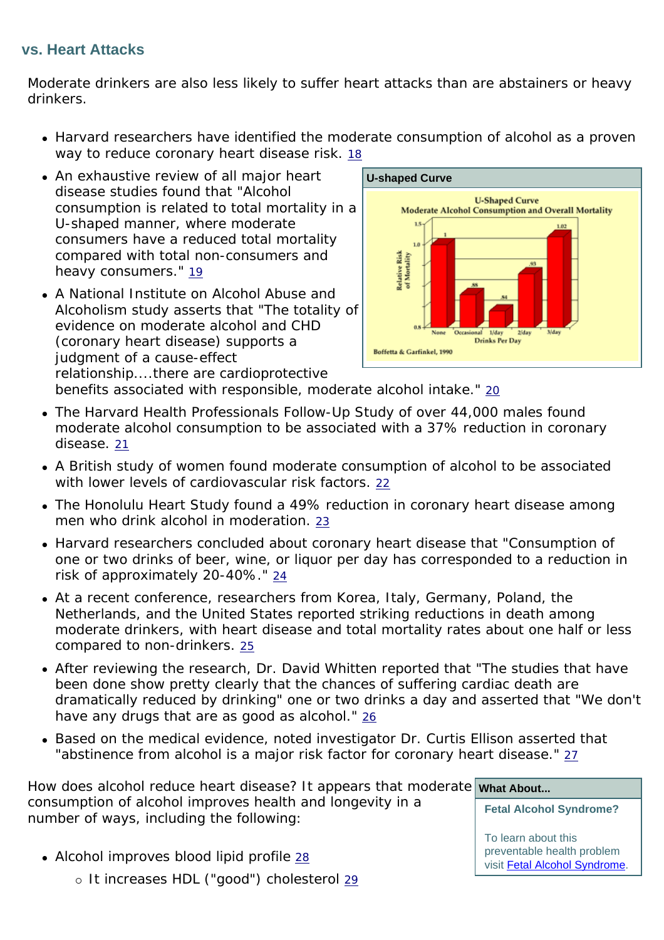# **vs. Heart Attacks**

Moderate drinkers are also less likely to suffer heart attacks than are abstainers or heavy drinkers.

- Harvard researchers have identified the moderate consumption of alcohol as a proven way to reduce coronary heart disease risk. 18
- An exhaustive review of all major heart disease studies found that "Alcohol consumption is related to total mortality in a U-shaped manner, where moderate consumers have a reduced total mortality compared with total non-consumers and heavy consumers." 19
- A National Institute on Alcohol Abuse and Alcoholism study asserts that "The totality of evidence on moderate alcohol and CHD (coronary heart disease) supports a judgment of a cause-effect relationship....there are cardioprotective



benefits associated with responsible, moderate alcohol intake." 20

- The Harvard Health Professionals Follow-Up Study of over 44,000 males found moderate alcohol consumption to be associated with a 37% reduction in coronary disease. 21
- A British study of women found moderate consumption of alcohol to be associated with lower levels of cardiovascular risk factors. 22
- The Honolulu Heart Study found a 49% reduction in coronary heart disease among men who drink alcohol in moderation. 23
- Harvard researchers concluded about coronary heart disease that "Consumption of one or two drinks of beer, wine, or liquor per day has corresponded to a reduction in risk of approximately 20-40%." 24
- At a recent conference, researchers from Korea, Italy, Germany, Poland, the Netherlands, and the United States reported striking reductions in death among moderate drinkers, with heart disease and total mortality rates about one half or less compared to non-drinkers. 25
- After reviewing the research, Dr. David Whitten reported that "The studies that have been done show pretty clearly that the chances of suffering cardiac death are dramatically reduced by drinking" one or two drinks a day and asserted that "We don't have any drugs that are as good as alcohol." 26
- Based on the medical evidence, noted investigator Dr. Curtis Ellison asserted that "abstinence from alcohol is a major risk factor for coronary heart disease." 27

How does alcohol reduce heart disease? It appears that moderate what About... consumption of alcohol improves health and longevity in a number of ways, including the following: **Fetal Alcohol Syndrome?**

> To learn about this preventable health problem visit Fetal Alcohol Syndrome.

• Alcohol improves blood lipid profile  $28$ o It increases HDL ("good") cholesterol 29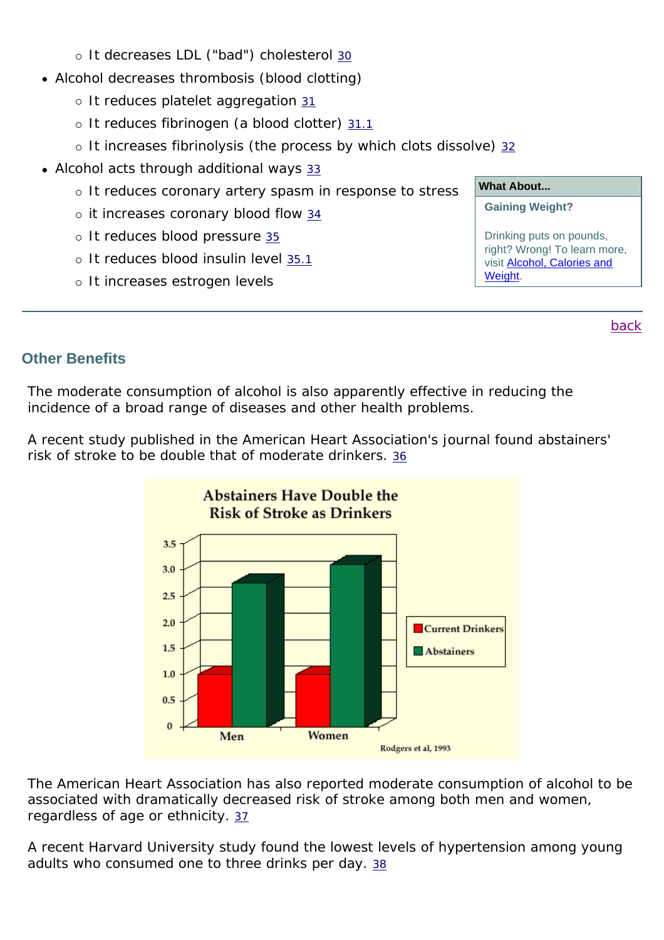- o It decreases LDL ("bad") cholesterol 30
- Alcohol decreases thrombosis (blood clotting)
	- $\circ$  It reduces platelet aggregation  $31$
	- o It reduces fibrinogen (a blood clotter) 31.1
	- $\circ$  It increases fibrinolysis (the process by which clots dissolve) 32
- Alcohol acts through additional ways 33
	- o It reduces coronary artery spasm in response to stress
	- $\circ$  it increases coronary blood flow 34
	- o It reduces blood pressure 35
	- o It reduces blood insulin level 35.1
	- o It increases estrogen levels

### **What About...**

#### **Gaining Weight?**

Drinking puts on pounds, right? Wrong! To learn more, visit Alcohol, Calories and Weight.

back

# **Other Benefits**

The moderate consumption of alcohol is also apparently effective in reducing the incidence of a broad range of diseases and other health problems.

A recent study published in the American Heart Association's journal found abstainers' risk of stroke to be double that of moderate drinkers. 36



The American Heart Association has also reported moderate consumption of alcohol to be associated with dramatically decreased risk of stroke among both men and women, regardless of age or ethnicity. 37

A recent Harvard University study found the lowest levels of hypertension among young adults who consumed one to three drinks per day. 38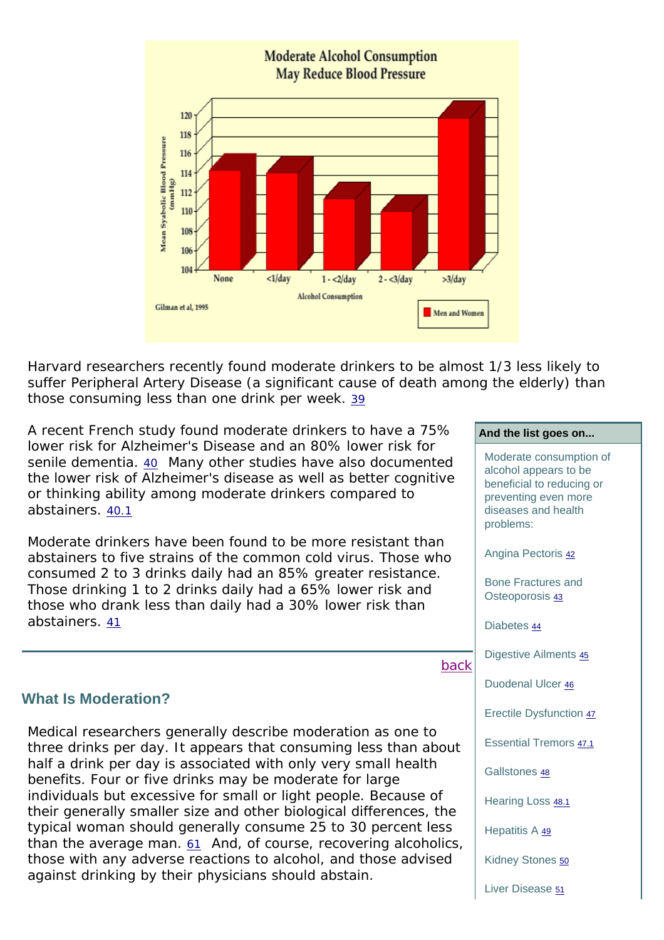

Harvard researchers recently found moderate drinkers to be almost 1/3 less likely to suffer Peripheral Artery Disease (a significant cause of death among the elderly) than those consuming less than one drink per week. 39

A recent French study found moderate drinkers to have a 75% lower risk for Alzheimer's Disease and an 80% lower risk for senile dementia. 40 Many other studies have also documented the lower risk of Alzheimer's disease as well as better cognitive or thinking ability among moderate drinkers compared to abstainers. 40.1

Moderate drinkers have been found to be more resistant than abstainers to five strains of the common cold virus. Those who consumed 2 to 3 drinks daily had an 85% greater resistance. Those drinking 1 to 2 drinks daily had a 65% lower risk and those who drank less than daily had a 30% lower risk than abstainers. 41

### back

#### **What Is Moderation?**

Medical researchers generally describe moderation as one to three drinks per day. It appears that consuming less than about half a drink per day is associated with only very small health benefits. Four or five drinks may be moderate for large individuals but excessive for small or light people. Because of their generally smaller size and other biological differences, the typical woman should generally consume 25 to 30 percent less than the average man. 61 And, of course, recovering alcoholics, those with any adverse reactions to alcohol, and those advised against drinking by their physicians should abstain.

Moderate consumption of alcohol appears to be beneficial to reducing or

**And the list goes on...**

preventing even more diseases and health problems:

Angina Pectoris 42

Bone Fractures and Osteoporosis 43

Diabetes 44

Digestive Ailments 45

Duodenal Ulcer 46

Erectile Dysfunction 47

Essential Tremors 47.1

Gallstones 48

Hearing Loss 48.1

Hepatitis A 49

Kidney Stones 50

Liver Disease 51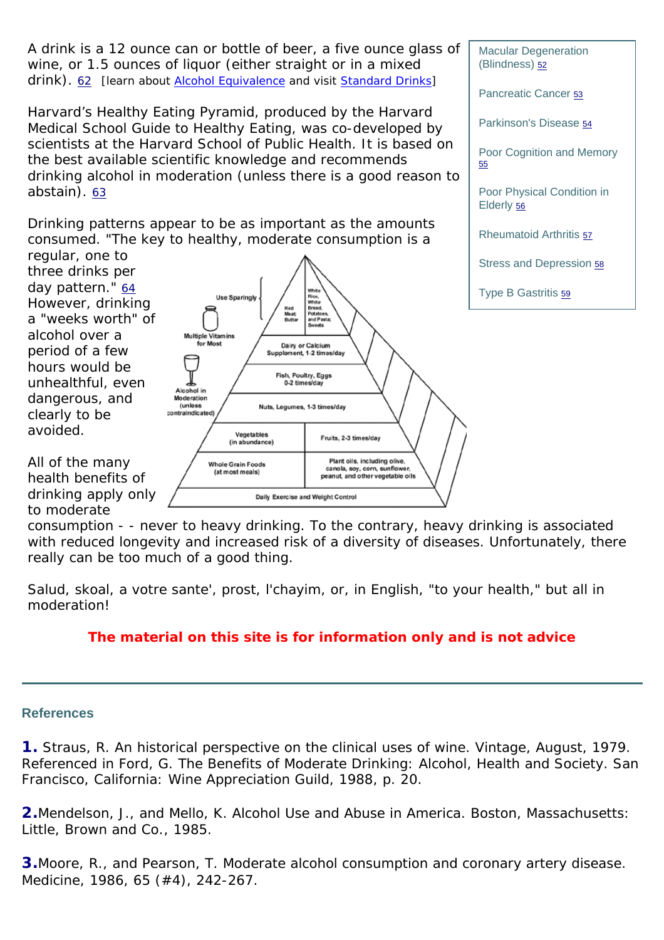

consumption - - never to heavy drinking. To the contrary, heavy drinking is associated with reduced longevity and increased risk of a diversity of diseases. Unfortunately, there really can be too much of a good thing.

Salud, skoal, a votre sante', prost, l'chayim, or, in English, "to your health," but all in moderation!

# **The material on this site is for information only and is not advice**

#### **References**

**1.** Straus, R. An historical perspective on the clinical uses of wine. *Vintage*, August, 1979. Referenced in Ford, G. *The Benefits of Moderate Drinking: Alcohol, Health and Society*. San Francisco, California: Wine Appreciation Guild, 1988, p. 20.

**2.**Mendelson, J., and Mello, K. *Alcohol Use and Abuse in America*. Boston, Massachusetts: Little, Brown and Co., 1985.

**3.**Moore, R., and Pearson, T. Moderate alcohol consumption and coronary artery disease. *Medicine*, 1986, *65 (#4)*, 242-267.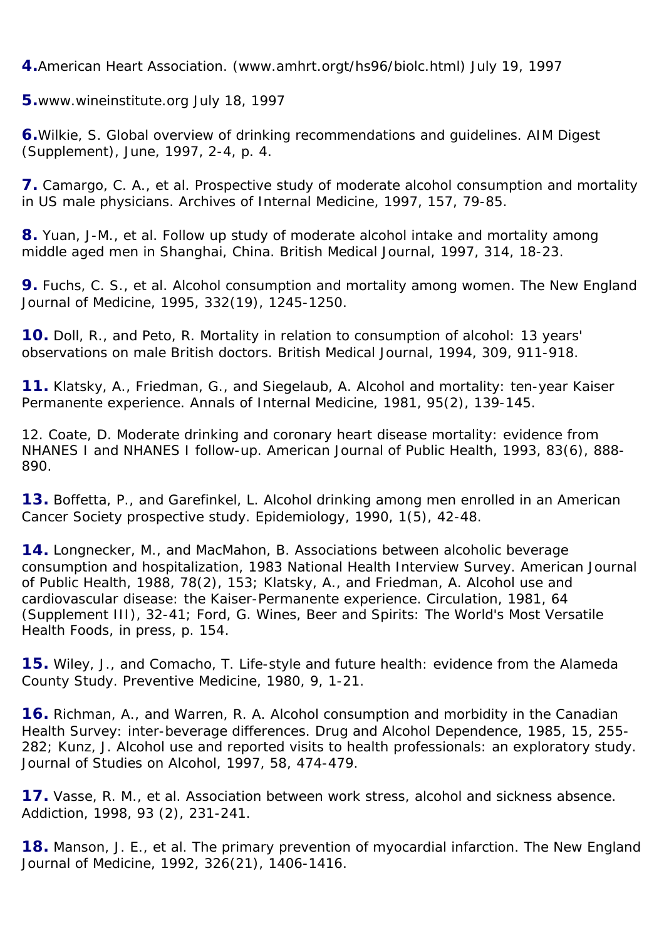**4.**American Heart Association. (www.amhrt.orgt/hs96/biolc.html) July 19, 1997

**5.**www.wineinstitute.org July 18, 1997

**6.**Wilkie, S. Global overview of drinking recommendations and guidelines. *AIM Digest* (Supplement), June, 1997, *2-4*, p. 4.

**7.** Camargo, C. A., *et al*. Prospective study of moderate alcohol consumption and mortality in US male physicians. *Archives of Internal Medicine*, 1997, *157*, 79-85.

**8.** Yuan, J-M., *et al*. Follow up study of moderate alcohol intake and mortality among middle aged men in Shanghai, China. *British Medical Journal*, 1997, *314*, 18-23.

**9.** Fuchs, C. S., *et al*. Alcohol consumption and mortality among women. *The New England Journal of Medicine*, 1995, *332(19)*, 1245-1250.

**10.** Doll, R., and Peto, R. Mortality in relation to consumption of alcohol: 13 years' observations on male British doctors. *British Medical Journal*, 1994, *309*, 911-918.

**11.** Klatsky, A., Friedman, G., and Siegelaub, A. Alcohol and mortality: ten-year Kaiser Permanente experience. *Annals of Internal Medicine*, 1981, *95(2)*, 139-145.

12. Coate, D. Moderate drinking and coronary heart disease mortality: evidence from NHANES I and NHANES I follow-up. *American Journal of Public Health*, 1993, *83(6)*, 888- 890.

**13.** Boffetta, P., and Garefinkel, L. Alcohol drinking among men enrolled in an American Cancer Society prospective study. *Epidemiology*, 1990, *1(5)*, 42-48.

**14.** Longnecker, M., and MacMahon, B. Associations between alcoholic beverage consumption and hospitalization, 1983 National Health Interview Survey. *American Journal of Public Health*, 1988, *78(2)*, 153; Klatsky, A., and Friedman, A. Alcohol use and cardiovascular disease: the Kaiser-Permanente experience. *Circulation*, 1981, *64 (Supplement III)*, 32-41; Ford, G. *Wines, Beer and Spirits: The World's Most Versatile Health Foods*, in press, p. 154.

**15.** Wiley, J., and Comacho, T. Life-style and future health: evidence from the Alameda County Study. *Preventive Medicine*, 1980, *9*, 1-21.

**16.** Richman, A., and Warren, R. A. Alcohol consumption and morbidity in the Canadian Health Survey: inter-beverage differences. *Drug and Alcohol Dependence*, 1985, *15*, 255- 282; Kunz, J. Alcohol use and reported visits to health professionals: an exploratory study. *Journal of Studies on Alcohol*, 1997, *58*, 474-479.

**17.** Vasse, R. M., *et al*. Association between work stress, alcohol and sickness absence. *Addiction*, 1998, *93 (2)*, 231-241.

**18.** Manson, J. E., *et al*. The primary prevention of myocardial infarction. *The New England Journal of Medicine*, 1992, *326(21)*, 1406-1416.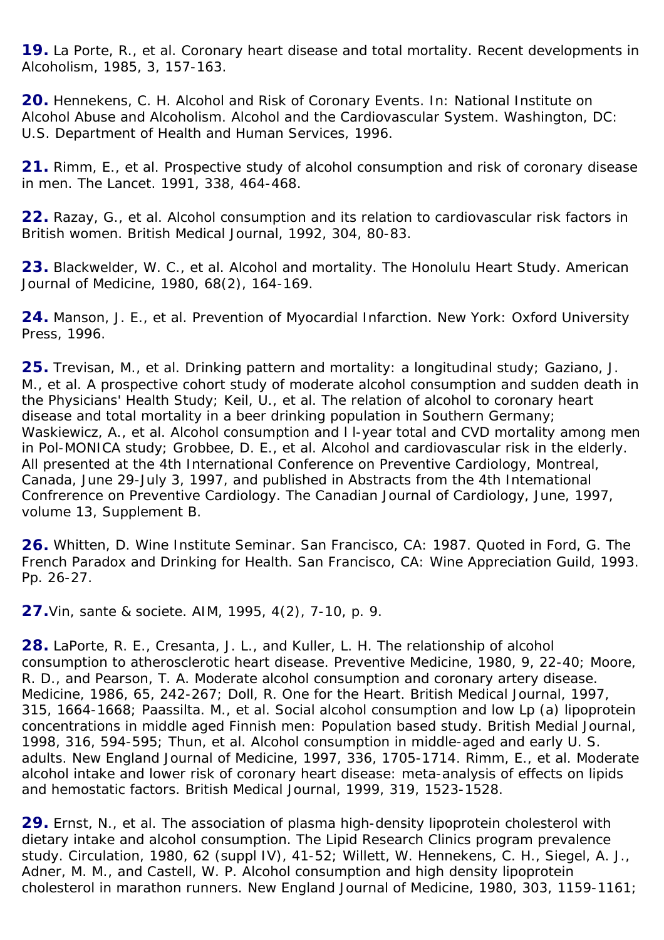**19.** La Porte, R., *et al*. Coronary heart disease and total mortality. *Recent developments in Alcoholism*, 1985, *3*, 157-163.

**20.** Hennekens, C. H. Alcohol and Risk of Coronary Events. In: National Institute on Alcohol Abuse and Alcoholism. *Alcohol and the Cardiovascular System*. Washington, DC: U.S. Department of Health and Human Services, 1996.

**21.** Rimm, E., *et al*. Prospective study of alcohol consumption and risk of coronary disease in men. *The Lancet*. 1991, *338*, 464-468.

**22.** Razay, G., *et al*. Alcohol consumption and its relation to cardiovascular risk factors in British women. *British Medical Journal*, 1992, *304*, 80-83.

**23.** Blackwelder, W. C., *et al*. Alcohol and mortality. The Honolulu Heart Study. *American Journal of Medicine*, 1980, *68(2)*, 164-169.

**24.** Manson, J. E., *et al*. *Prevention of Myocardial Infarction*. New York: Oxford University Press, 1996.

**25.** Trevisan, M., *et al*. Drinking pattern and mortality: a longitudinal study; Gaziano, J. M., *et al*. A prospective cohort study of moderate alcohol consumption and sudden death in the Physicians' Health Study; Keil, U., *et al*. The relation of alcohol to coronary heart disease and total mortality in a beer drinking population in Southern Germany; Waskiewicz, A., *et al*. Alcohol consumption and l l-year total and CVD mortality among men in Pol-MONICA study; Grobbee, D. E., *et al*. Alcohol and cardiovascular risk in the elderly. All presented at the 4th International Conference on Preventive Cardiology, Montreal, Canada, June 29-July 3, 1997, and published in Abstracts from the 4th Intemational Confrerence on Preventive Cardiology. *The Canadian Journal of Cardiology*, June, 1997, volume 13, Supplement B.

**26.** Whitten, D. Wine Institute Seminar. San Francisco, CA: 1987. Quoted in Ford, G. *The French Paradox and Drinking for Health*. San Francisco, CA: Wine Appreciation Guild, 1993. Pp. 26-27.

**27.**Vin, sante & societe. *AIM*, 1995, *4(2)*, 7-10, p. 9.

**28.** LaPorte, R. E., Cresanta, J. L., and Kuller, L. H. The relationship of alcohol consumption to atherosclerotic heart disease. *Preventive Medicine*, 1980, *9*, 22-40; Moore, R. D., and Pearson, T. A. Moderate alcohol consumption and coronary artery disease. *Medicine*, 1986, *65*, 242-267; Doll, R. One for the Heart. *British Medical Journal*, 1997, *315*, 1664-1668; Paassilta. M., *et al*. Social alcohol consumption and low Lp (a) lipoprotein concentrations in middle aged Finnish men: Population based study. *British Medial Journal*, 1998, *316*, 594-595; Thun, *et al*. Alcohol consumption in middle-aged and early U. S. adults. *New England Journal of Medicine*, 1997, *336*, 1705-1714. Rimm, E., *et al*. Moderate alcohol intake and lower risk of coronary heart disease: meta-analysis of effects on lipids and hemostatic factors. *British Medical Journal*, 1999, *319*, 1523-1528.

**29.** Ernst, N., *et al*. The association of plasma high-density lipoprotein cholesterol with dietary intake and alcohol consumption. The Lipid Research Clinics program prevalence study. *Circulation*, 1980, *62* (suppl IV), 41-52; Willett, W. Hennekens, C. H., Siegel, A. J., Adner, M. M., and Castell, W. P. Alcohol consumption and high density lipoprotein cholesterol in marathon runners. *New England Journal of Medicine*, 1980, *303*, 1159-1161;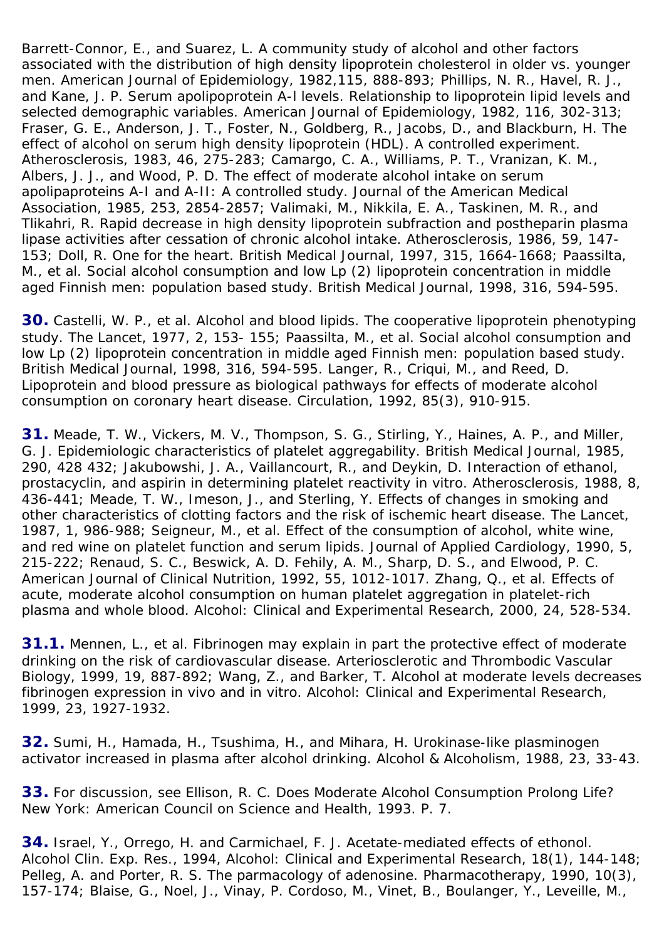Barrett-Connor, E., and Suarez, L. A community study of alcohol and other factors associated with the distribution of high density lipoprotein cholesterol in older vs. younger men. *American Journal of Epidemiology*, 1982,*115*, 888-893; Phillips, N. R., Havel, R. J., and Kane, J. P. Serum apolipoprotein A-l levels. Relationship to lipoprotein lipid levels and selected demographic variables. *American Journal of Epidemiology*, 1982, *116*, 302-313; Fraser, G. E., Anderson, J. T., Foster, N., Goldberg, R., Jacobs, D., and Blackburn, H. The effect of alcohol on serum high density lipoprotein (HDL). A controlled experiment. *Atherosclerosis*, 1983, *46*, 275-283; Camargo, C. A., Williams, P. T., Vranizan, K. M., Albers, J. J., and Wood, P. D. The effect of moderate alcohol intake on serum apolipaproteins A-I and A-II: A controlled study. *Journal of the American Medical Association*, 1985, *253*, 2854-2857; Valimaki, M., Nikkila, E. A., Taskinen, M. R., and Tlikahri, R. Rapid decrease in high density lipoprotein subfraction and postheparin plasma lipase activities after cessation of chronic alcohol intake. *Atherosclerosis*, 1986, *59*, 147- 153; Doll, R. One for the heart. *British Medical Journal*, 1997, *315*, 1664-1668; Paassilta, M., *et al*. Social alcohol consumption and low Lp (2) lipoprotein concentration in middle aged Finnish men: population based study. *British Medical Journal*, 1998, *316*, 594-595.

**30.** Castelli, W. P., *et al*. Alcohol and blood lipids. The cooperative lipoprotein phenotyping study. *The Lancet*, 1977, *2*, 153- 155; Paassilta, M., *et al*. Social alcohol consumption and low Lp (2) lipoprotein concentration in middle aged Finnish men: population based study. *British Medical Journal*, 1998, *316*, 594-595. Langer, R., Criqui, M., and Reed, D. Lipoprotein and blood pressure as biological pathways for effects of moderate alcohol consumption on coronary heart disease. *Circulation*, 1992, *85(3)*, 910-915.

**31.** Meade, T. W., Vickers, M. V., Thompson, S. G., Stirling, Y., Haines, A. P., and Miller, G. J. Epidemiologic characteristics of platelet aggregability. *British Medical Journal*, 1985, *290*, 428 432; Jakubowshi, J. A., Vaillancourt, R., and Deykin, D. Interaction of ethanol, prostacyclin, and aspirin in determining platelet reactivity in vitro. *Atherosclerosis*, 1988, *8*, 436-441; Meade, T. W., Imeson, J., and Sterling, Y. Effects of changes in smoking and other characteristics of clotting factors and the risk of ischemic heart disease. *The Lancet*, 1987, *1*, 986-988; Seigneur, M., *et al*. Effect of the consumption of alcohol, white wine, and red wine on platelet function and serum lipids. *Journal of Applied Cardiology*, 1990, *5*, 215-222; Renaud, S. C., Beswick, A. D. Fehily, A. M., Sharp, D. S., and Elwood, P. C. *American Journal of Clinical Nutrition*, 1992, *55*, 1012-1017. Zhang, Q., *et al*. Effects of acute, moderate alcohol consumption on human platelet aggregation in platelet-rich plasma and whole blood. *Alcohol: Clinical and Experimental Research*, 2000, *24*, 528-534.

**31.1.** Mennen, L., *et al*. Fibrinogen may explain in part the protective effect of moderate drinking on the risk of cardiovascular disease. *Arteriosclerotic and Thrombodic Vascular Biology*, 1999, *19*, 887-892; Wang, Z., and Barker, T. Alcohol at moderate levels decreases fibrinogen expression in vivo and in vitro. *Alcohol: Clinical and Experimental Research*, 1999, *23*, 1927-1932.

**32.** Sumi, H., Hamada, H., Tsushima, H., and Mihara, H. Urokinase-like plasminogen activator increased in plasma after alcohol drinking. *Alcohol & Alcoholism*, 1988, *23*, 33-43.

**33.** For discussion, see Ellison, R. C. *Does Moderate Alcohol Consumption Prolong Life?* New York: American Council on Science and Health, 1993. P. 7.

**34.** Israel, Y., Orrego, H. and Carmichael, F. J. Acetate-mediated effects of ethonol. Alcohol Clin. Exp. Res., 1994, *Alcohol: Clinical and Experimental Research*, *18(1)*, 144-148; Pelleg, A. and Porter, R. S. The parmacology of adenosine. *Pharmacotherapy*, 1990, *10(3)*, 157-174; Blaise, G., Noel, J., Vinay, P. Cordoso, M., Vinet, B., Boulanger, Y., Leveille, M.,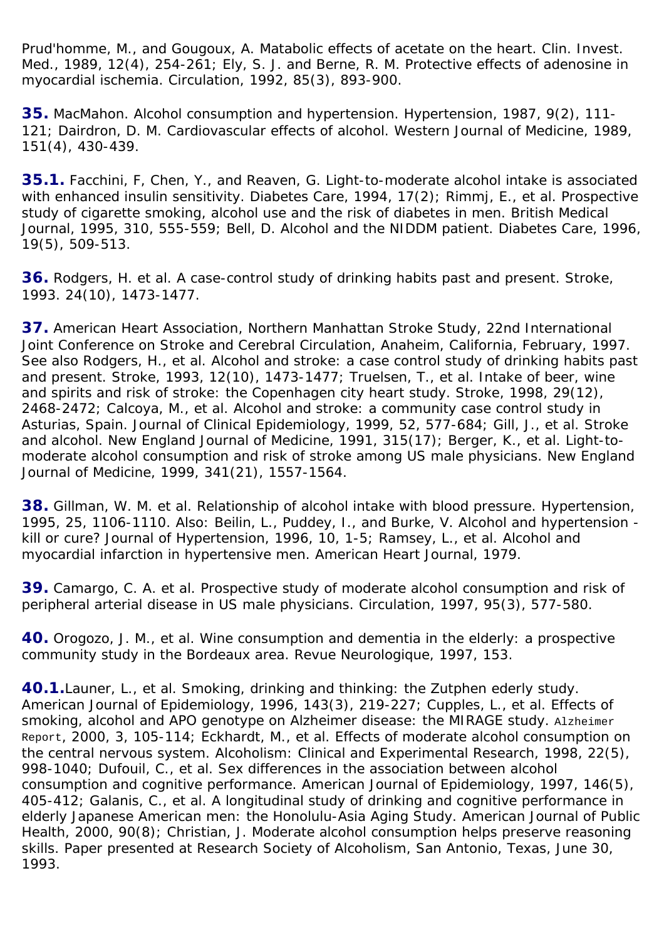Prud'homme, M., and Gougoux, A. Matabolic effects of acetate on the heart. *Clin. Invest. Med.*, *1989*, 12(4), 254-261; Ely, S. J. and Berne, R. M. Protective effects of adenosine in myocardial ischemia. *Circulation*, 1992, *85(3)*, 893-900.

**35.** MacMahon. Alcohol consumption and hypertension. *Hypertension*, 1987, 9(2), 111- 121; Dairdron, D. M. Cardiovascular effects of alcohol. *Western Journal of Medicine*, 1989, *151(4)*, 430-439.

**35.1.** Facchini, F, Chen, Y., and Reaven, G. Light-to-moderate alcohol intake is associated with enhanced insulin sensitivity. *Diabetes Care*, 1994, 17(2); Rimmj, E., *et al*. Prospective study of cigarette smoking, alcohol use and the risk of diabetes in men. *British Medical Journal*, 1995, *310*, 555-559; Bell, D. Alcohol and the NIDDM patient. *Diabetes Care*, 1996, *19(5)*, 509-513.

**36.** Rodgers, H. *et al*. A case-control study of drinking habits past and present. *Stroke*, 1993. *24(10)*, 1473-1477.

**37.** American Heart Association, Northern Manhattan Stroke Study, 22nd International Joint Conference on Stroke and Cerebral Circulation, Anaheim, California, February, 1997. See also Rodgers, H., *et al*. Alcohol and stroke: a case control study of drinking habits past and present. *Stroke*, 1993, *12(10)*, 1473-1477; Truelsen, T., *et al*. Intake of beer, wine and spirits and risk of stroke: the Copenhagen city heart study. *Stroke*, 1998, *29(12)*, 2468-2472; Calcoya, M., *et al*. Alcohol and stroke: a community case control study in Asturias, Spain. *Journal of Clinical Epidemiology*, 1999, *52*, 577-684; Gill, J., *et al*. Stroke and alcohol. *New England Journal of Medicine*, 1991, *315(17)*; Berger, K., *et al*. Light-tomoderate alcohol consumption and risk of stroke among US male physicians. *New England Journal of Medicine*, 1999, *341(21)*, 1557-1564.

**38.** Gillman, W. M. *et al*. Relationship of alcohol intake with blood pressure. *Hypertension*, 1995, *25*, 1106-1110. Also: Beilin, L., Puddey, I., and Burke, V. Alcohol and hypertension kill or cure? *Journal of Hypertension*, 1996, *10*, 1-5; Ramsey, L., *et al*. Alcohol and myocardial infarction in hypertensive men. *American Heart Journal*, 1979.

**39.** Camargo, C. A. *et al*. Prospective study of moderate alcohol consumption and risk of peripheral arterial disease in US male physicians. *Circulation*, 1997, *95(3)*, 577-580.

**40.** Orogozo, J. M., *et al*. Wine consumption and dementia in the elderly: a prospective community study in the Bordeaux area. *Revue Neurologique*, 1997, 153.

**40.1.**Launer, L., *et al*. Smoking, drinking and thinking: the Zutphen ederly study. *American Journal of Epidemiology*, 1996, *143(3)*, 219-227; Cupples, L., *et al*. Effects of smoking, alcohol and APO genotype on Alzheimer disease: the MIRAGE study. Alzheimer Report, 2000, *3*, 105-114; Eckhardt, M., *et al*. Effects of moderate alcohol consumption on the central nervous system. *Alcoholism: Clinical and Experimental Research*, 1998, *22(5)*, 998-1040; Dufouil, C., *et al*. Sex differences in the association between alcohol consumption and cognitive performance. *American Journal of Epidemiology*, 1997, *146(5)*, 405-412; Galanis, C., *et al*. A longitudinal study of drinking and cognitive performance in elderly Japanese American men: the Honolulu-Asia Aging Study. *American Journal of Public Health*, 2000, *90(8)*; Christian, J. Moderate alcohol consumption helps preserve reasoning skills. Paper presented at Research Society of Alcoholism, San Antonio, Texas, June 30, 1993.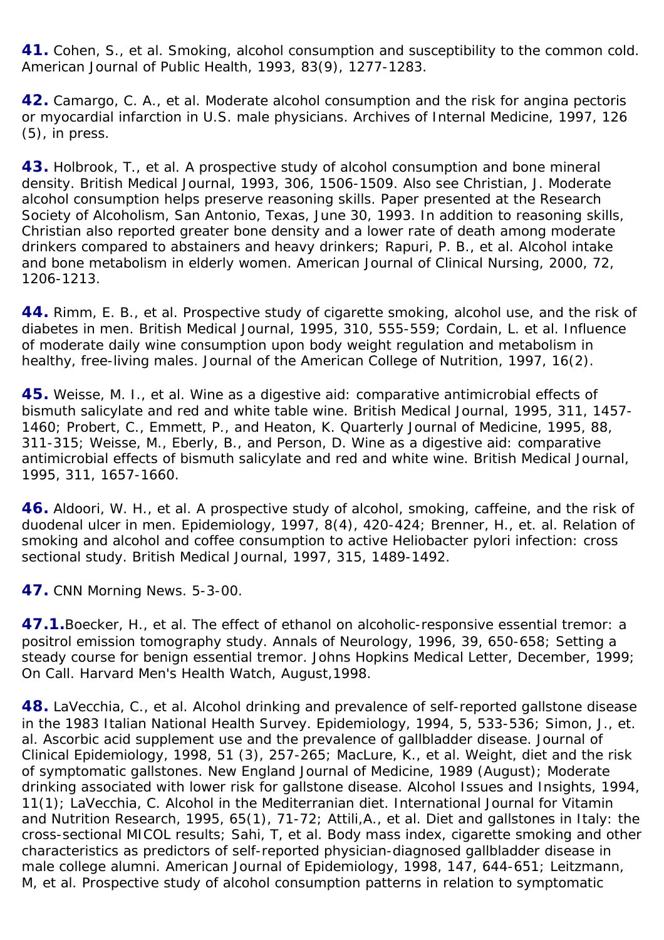**41.** Cohen, S., *et al*. Smoking, alcohol consumption and susceptibility to the common cold. *American Journal of Public Health*, 1993, *83(9)*, 1277-1283.

**42.** Camargo, C. A., *et al*. Moderate alcohol consumption and the risk for angina pectoris or myocardial infarction in U.S. male physicians. *Archives of Internal Medicine*, 1997, *126 (5)*, in press.

**43.** Holbrook, T., *et al*. A prospective study of alcohol consumption and bone mineral density. *British Medical Journal*, 1993, *306*, 1506-1509. Also see Christian, J. Moderate alcohol consumption helps preserve reasoning skills. Paper presented at the Research Society of Alcoholism, San Antonio, Texas, June 30, 1993. In addition to reasoning skills, Christian also reported greater bone density and a lower rate of death among moderate drinkers compared to abstainers and heavy drinkers; Rapuri, P. B., *et al*. Alcohol intake and bone metabolism in elderly women. *American Journal of Clinical Nursing*, 2000, *72*, 1206-1213.

**44.** Rimm, E. B., *et al*. Prospective study of cigarette smoking, alcohol use, and the risk of diabetes in men. *British Medical Journal*, 1995, *310*, 555-559; Cordain, L. *et al*. Influence of moderate daily wine consumption upon body weight regulation and metabolism in healthy, free-living males. *Journal of the American College of Nutrition*, 1997, *16(2)*.

**45.** Weisse, M. I., *et al*. Wine as a digestive aid: comparative antimicrobial effects of bismuth salicylate and red and white table wine. *British Medical Journal*, 1995, *311*, 1457- 1460; Probert, C., Emmett, P., and Heaton, K. *Quarterly Journal of Medicine*, 1995, *88*, 311-315; Weisse, M., Eberly, B., and Person, D. Wine as a digestive aid: comparative antimicrobial effects of bismuth salicylate and red and white wine. *British Medical Journal*, 1995, *311*, 1657-1660.

**46.** Aldoori, W. H., *et al*. A prospective study of alcohol, smoking, caffeine, and the risk of duodenal ulcer in men. *Epidemiology*, 1997, *8(4)*, 420-424; Brenner, H., *et. al*. Relation of smoking and alcohol and coffee consumption to active *Heliobacter pylori* infection: cross sectional study. *British Medical Journal*, 1997, *315*, 1489-1492.

**47.** CNN Morning News. 5-3-00.

**47.1.**Boecker, H., *et al*. The effect of ethanol on alcoholic-responsive essential tremor: a positrol emission tomography study. *Annals of Neurology*, 1996, *39*, 650-658; Setting a steady course for benign essential tremor. Johns Hopkins Medical Letter, December, 1999; On Call. Harvard Men's Health Watch, August,1998.

**48.** LaVecchia, C., *et al*. Alcohol drinking and prevalence of self-reported gallstone disease in the 1983 Italian National Health Survey. *Epidemiology*, 1994, *5*, 533-536; Simon, J., *et. al*. Ascorbic acid supplement use and the prevalence of gallbladder disease. *Journal of Clinical Epidemiology*, 1998, *51 (3)*, 257-265; MacLure, K., *et al*. Weight, diet and the risk of symptomatic gallstones. *New England Journal of Medicine*, 1989 (August); Moderate drinking associated with lower risk for gallstone disease. *Alcohol Issues and Insights*, 1994, *11(1)*; LaVecchia, C. Alcohol in the Mediterranian diet. *International Journal for Vitamin and Nutrition Research*, 1995, *65(1)*, 71-72; Attili,A., *et al*. Diet and gallstones in Italy: the cross-sectional MICOL results; Sahi, T, *et al*. Body mass index, cigarette smoking and other characteristics as predictors of self-reported physician-diagnosed gallbladder disease in male college alumni. *American Journal of Epidemiology*, 1998, *147*, 644-651; Leitzmann, M, *et al*. Prospective study of alcohol consumption patterns in relation to symptomatic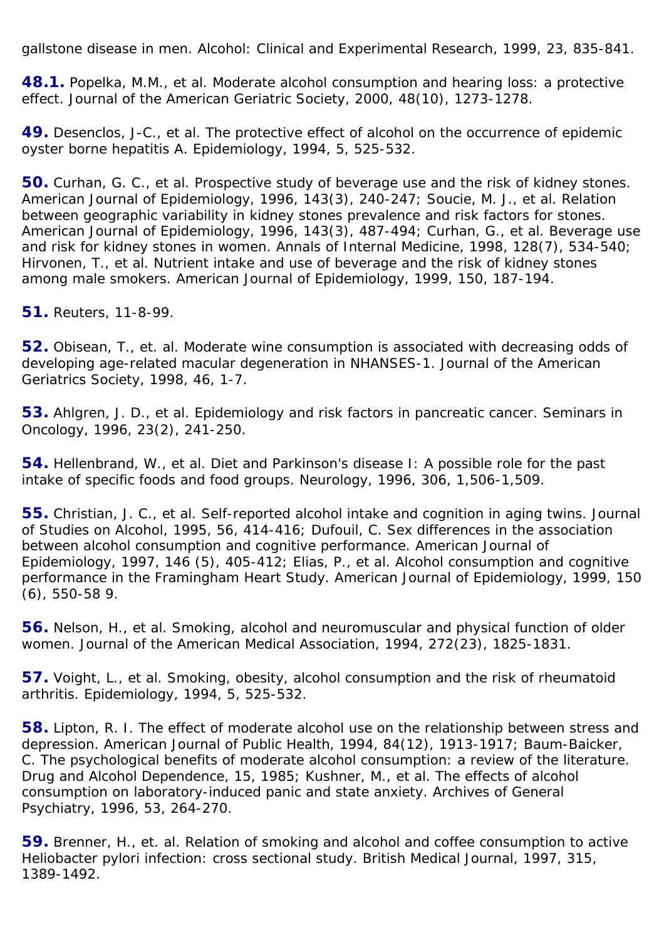gallstone disease in men. *Alcohol: Clinical and Experimental Research*, 1999, *23*, 835-841.

**48.1.** Popelka, M.M., *et al*. Moderate alcohol consumption and hearing loss: a protective effect. *Journal of the American Geriatric Society*, 2000, *48(10)*, 1273-1278.

**49.** Desenclos, J-C., *et al*. The protective effect of alcohol on the occurrence of epidemic oyster borne hepatitis A. *Epidemiology*, 1994, *5*, 525-532.

**50.** Curhan, G. C., *et al*. Prospective study of beverage use and the risk of kidney stones. *American Journal of Epidemiology*, 1996, *143(3)*, 240-247; Soucie, M. J., *et al*. Relation between geographic variability in kidney stones prevalence and risk factors for stones. *American Journal of Epidemiology*, 1996, *143(3)*, 487-494; Curhan, G., *et al*. Beverage use and risk for kidney stones in women. *Annals of Internal Medicine*, 1998, *128(7)*, 534-540; Hirvonen, T., *et al*. Nutrient intake and use of beverage and the risk of kidney stones among male smokers. *American Journal of Epidemiology*, 1999, *150*, 187-194.

**51.** Reuters, 11-8-99.

**52.** Obisean, T., *et. al*. Moderate wine consumption is associated with decreasing odds of developing age-related macular degeneration in NHANSES-1. *Journal of the American Geriatrics Society*, 1998, *46*, 1-7.

**53.** Ahlgren, J. D., *et al*. Epidemiology and risk factors in pancreatic cancer. *Seminars in Oncology*, 1996, *23(2)*, 241-250.

**54.** Hellenbrand, W., *et al*. Diet and Parkinson's disease I: A possible role for the past intake of specific foods and food groups. *Neurology*, 1996, *306*, 1,506-1,509.

**55.** Christian, J. C., *et al*. Self-reported alcohol intake and cognition in aging twins. *Journal of Studies on Alcohol*, 1995, *56*, 414-416; Dufouil, C. Sex differences in the association between alcohol consumption and cognitive performance. *American Journal of Epidemiology*, 1997, *146 (5)*, 405-412; Elias, P., *et al*. Alcohol consumption and cognitive performance in the Framingham Heart Study. *American Journal of Epidemiology*, 1999, *150 (6*), 550-58 9.

**56.** Nelson, H., *et al*. Smoking, alcohol and neuromuscular and physical function of older women. *Journal of the American Medical Association*, 1994, *272(23)*, 1825-1831.

**57.** Voight, L., *et al*. Smoking, obesity, alcohol consumption and the risk of rheumatoid arthritis. *Epidemiology*, 1994, *5*, 525-532.

**58.** Lipton, R. I. The effect of moderate alcohol use on the relationship between stress and depression. *American Journal of Public Health*, 1994, *84(12)*, 1913-1917; Baum-Baicker, C. The psychological benefits of moderate alcohol consumption: a review of the literature. *Drug and Alcohol Dependence*, *15*, 1985; Kushner, M., *et al*. The effects of alcohol consumption on laboratory-induced panic and state anxiety. *Archives of General Psychiatry*, 1996, *53*, 264-270.

**59.** Brenner, H., *et. al*. Relation of smoking and alcohol and coffee consumption to active *Heliobacter pylori* infection: cross sectional study. *British Medical Journal*, 1997, *315*, 1389-1492.